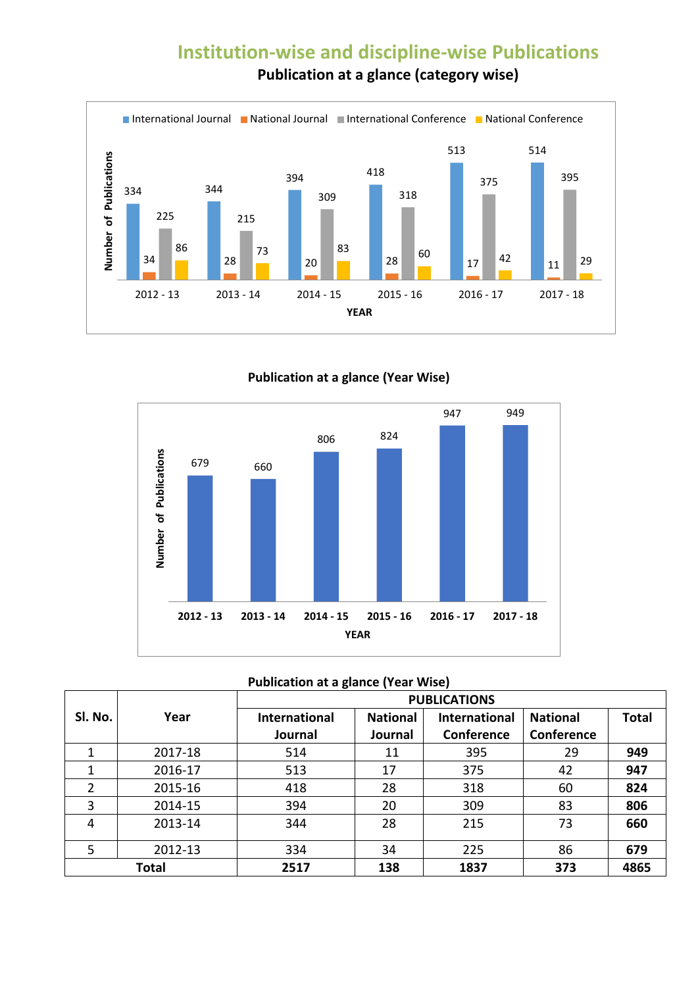## **Institution-wise and discipline-wise Publications Publication at a glance (category wise)**



**Publication at a glance (Year Wise)**



| <b>Publication at a glance (Year Wise)</b> |  |  |  |  |
|--------------------------------------------|--|--|--|--|
|--------------------------------------------|--|--|--|--|

|         |              | <b>PUBLICATIONS</b>  |                 |                      |                 |              |
|---------|--------------|----------------------|-----------------|----------------------|-----------------|--------------|
| SI. No. | Year         | <b>International</b> | <b>National</b> | <b>International</b> | <b>National</b> | <b>Total</b> |
|         |              | Journal              | Journal         | Conference           | Conference      |              |
| 1       | 2017-18      | 514                  | 11              | 395                  | 29              | 949          |
|         | 2016-17      | 513                  | 17              | 375                  | 42              | 947          |
| 2       | 2015-16      | 418                  | 28              | 318                  | 60              | 824          |
| 3       | 2014-15      | 394                  | 20              | 309                  | 83              | 806          |
| 4       | 2013-14      | 344                  | 28              | 215                  | 73              | 660          |
| 5       | 2012-13      | 334                  | 34              | 225                  | 86              | 679          |
|         | <b>Total</b> | 2517                 | 138             | 1837                 | 373             | 4865         |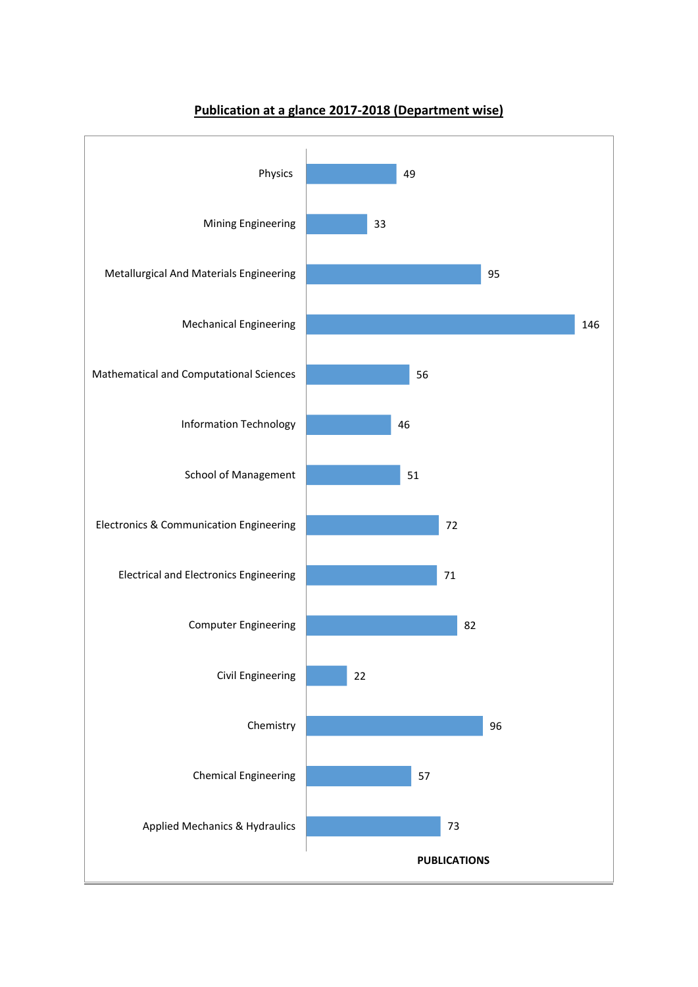

## **Publication at a glance 2017-2018 (Department wise)**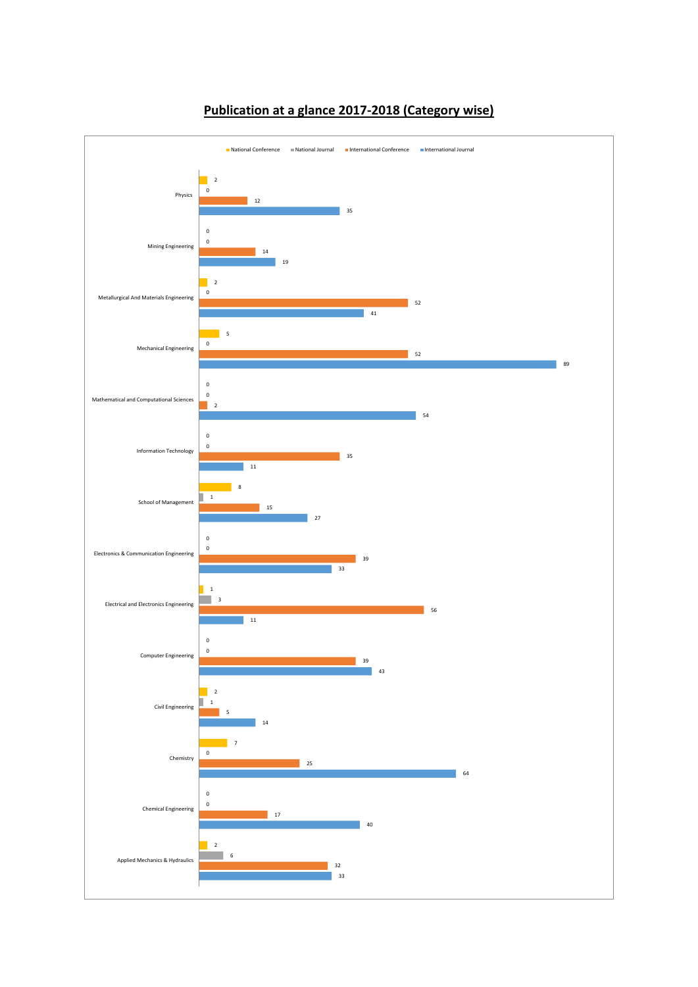

## **Publication at a glance 2017-2018 (Category wise)**